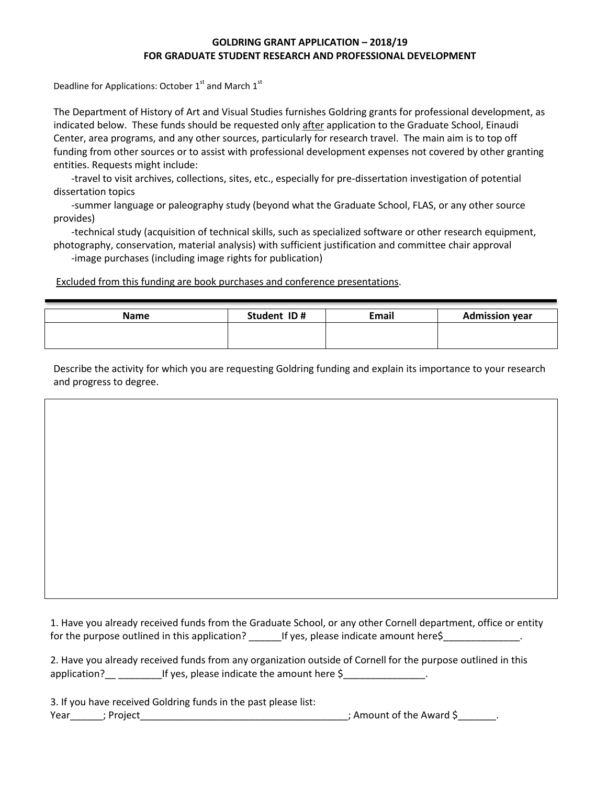## **GOLDRING GRANT APPLICATION – 2018/19 FOR GRADUATE STUDENT RESEARCH AND PROFESSIONAL DEVELOPMENT**

Deadline for Applications: October 1<sup>st</sup> and March 1<sup>st</sup>

The Department of History of Art and Visual Studies furnishes Goldring grants for professional development, as indicated below. These funds should be requested only after application to the Graduate School, Einaudi Center, area programs, and any other sources, particularly for research travel. The main aim is to top off funding from other sources or to assist with professional development expenses not covered by other granting entities. Requests might include:

-travel to visit archives, collections, sites, etc., especially for pre-dissertation investigation of potential dissertation topics

-summer language or paleography study (beyond what the Graduate School, FLAS, or any other source provides)

-technical study (acquisition of technical skills, such as specialized software or other research equipment, photography, conservation, material analysis) with sufficient justification and committee chair approval

-image purchases (including image rights for publication)

Excluded from this funding are book purchases and conference presentations.

| <b>Name</b> | Student ID# | Email | <b>Admission year</b> |
|-------------|-------------|-------|-----------------------|
|             |             |       |                       |
|             |             |       |                       |

Describe the activity for which you are requesting Goldring funding and explain its importance to your research and progress to degree.

1. Have you already received funds from the Graduate School, or any other Cornell department, office or entity for the purpose outlined in this application? \_\_\_\_\_\_If yes, please indicate amount here\$\_\_\_\_\_\_\_\_\_\_\_\_\_\_.

|              | 2. Have you already received funds from any organization outside of Cornell for the purpose outlined in this |  |
|--------------|--------------------------------------------------------------------------------------------------------------|--|
| application? | If yes, please indicate the amount here \$                                                                   |  |

|                   | 3. If you have received Goldring funds in the past please list: |                          |
|-------------------|-----------------------------------------------------------------|--------------------------|
| Year<br>; Project |                                                                 | ; Amount of the Award \$ |